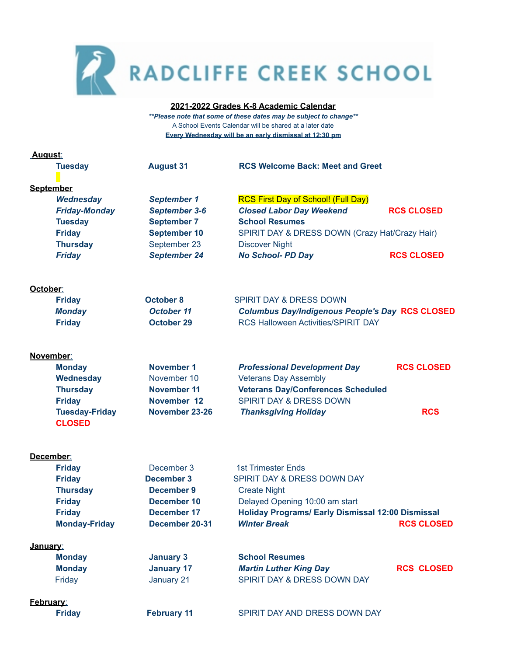

## **2021-2022 Grades K-8 Academic Calendar**

*\*\*Please note that some of these dates may be subject to change\*\** A School Events Calendar will be shared at a later date **Every Wednesday will be an early dismissal at 12:30 pm**

| <u>August:</u>        |                      |                                                          |                   |  |  |
|-----------------------|----------------------|----------------------------------------------------------|-------------------|--|--|
| <b>Tuesday</b>        | <b>August 31</b>     | <b>RCS Welcome Back: Meet and Greet</b>                  |                   |  |  |
|                       |                      |                                                          |                   |  |  |
| <b>September</b>      |                      |                                                          |                   |  |  |
| Wednesday             | <b>September 1</b>   | <b>RCS First Day of School! (Full Day)</b>               |                   |  |  |
| <b>Friday-Monday</b>  | <b>September 3-6</b> | <b>Closed Labor Day Weekend</b>                          | <b>RCS CLOSED</b> |  |  |
| <b>Tuesday</b>        | <b>September 7</b>   | <b>School Resumes</b>                                    |                   |  |  |
| <b>Friday</b>         | <b>September 10</b>  | SPIRIT DAY & DRESS DOWN (Crazy Hat/Crazy Hair)           |                   |  |  |
| <b>Thursday</b>       | September 23         | <b>Discover Night</b>                                    |                   |  |  |
| <b>Friday</b>         | <b>September 24</b>  | <b>No School- PD Day</b>                                 | <b>RCS CLOSED</b> |  |  |
| October:              |                      |                                                          |                   |  |  |
| <b>Friday</b>         | <b>October 8</b>     | SPIRIT DAY & DRESS DOWN                                  |                   |  |  |
| <b>Monday</b>         | <b>October 11</b>    | <b>Columbus Day/Indigenous People's Day RCS CLOSED</b>   |                   |  |  |
| <b>Friday</b>         | <b>October 29</b>    | <b>RCS Halloween Activities/SPIRIT DAY</b>               |                   |  |  |
|                       |                      |                                                          |                   |  |  |
| November:             |                      |                                                          |                   |  |  |
| <b>Monday</b>         | November 1           | <b>Professional Development Day</b>                      | <b>RCS CLOSED</b> |  |  |
| Wednesday             | November 10          | <b>Veterans Day Assembly</b>                             |                   |  |  |
| <b>Thursday</b>       | November 11          | <b>Veterans Day/Conferences Scheduled</b>                |                   |  |  |
| <b>Friday</b>         | November 12          | <b>SPIRIT DAY &amp; DRESS DOWN</b>                       |                   |  |  |
| <b>Tuesday-Friday</b> | November 23-26       | <b>Thanksgiving Holiday</b>                              | <b>RCS</b>        |  |  |
| <b>CLOSED</b>         |                      |                                                          |                   |  |  |
| December:             |                      |                                                          |                   |  |  |
| <b>Friday</b>         | December 3           | <b>1st Trimester Ends</b>                                |                   |  |  |
| <b>Friday</b>         | <b>December 3</b>    | SPIRIT DAY & DRESS DOWN DAY                              |                   |  |  |
| <b>Thursday</b>       | <b>December 9</b>    | <b>Create Night</b>                                      |                   |  |  |
| <b>Friday</b>         | December 10          | Delayed Opening 10:00 am start                           |                   |  |  |
| <b>Friday</b>         | December 17          | <b>Holiday Programs/ Early Dismissal 12:00 Dismissal</b> |                   |  |  |
| <b>Monday-Friday</b>  | December 20-31       | <b>Winter Break</b>                                      | <b>RCS CLOSED</b> |  |  |
| January:              |                      |                                                          |                   |  |  |
| <b>Monday</b>         | <b>January 3</b>     | <b>School Resumes</b>                                    |                   |  |  |
| <b>Monday</b>         | <b>January 17</b>    | <b>Martin Luther King Day</b>                            | <b>RCS CLOSED</b> |  |  |
| Friday                | January 21           | SPIRIT DAY & DRESS DOWN DAY                              |                   |  |  |
| February:             |                      |                                                          |                   |  |  |
| <b>Friday</b>         | <b>February 11</b>   | SPIRIT DAY AND DRESS DOWN DAY                            |                   |  |  |
|                       |                      |                                                          |                   |  |  |